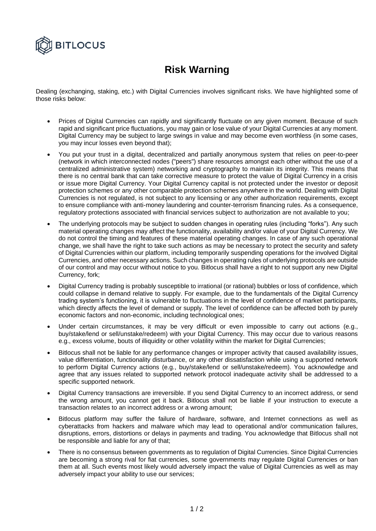

## **Risk Warning**

Dealing (exchanging, staking, etc.) with Digital Currencies involves significant risks. We have highlighted some of those risks below:

- Prices of Digital Currencies can rapidly and significantly fluctuate on any given moment. Because of such rapid and significant price fluctuations, you may gain or lose value of your Digital Currencies at any moment. Digital Currency may be subject to large swings in value and may become even worthless (in some cases, you may incur losses even beyond that);
- You put your trust in a digital, decentralized and partially anonymous system that relies on peer-to-peer (network in which interconnected nodes ("peers") share resources amongst each other without the use of a centralized administrative system) networking and cryptography to maintain its integrity. This means that there is no central bank that can take corrective measure to protect the value of Digital Currency in a crisis or issue more Digital Currency. Your Digital Currency capital is not protected under the investor or deposit protection schemes or any other comparable protection schemes anywhere in the world. Dealing with Digital Currencies is not regulated, is not subject to any licensing or any other authorization requirements, except to ensure compliance with anti-money laundering and counter-terrorism financing rules. As a consequence, regulatory protections associated with financial services subject to authorization are not available to you;
- The underlying protocols may be subject to sudden changes in operating rules (including "forks"). Any such material operating changes may affect the functionality, availability and/or value of your Digital Currency. We do not control the timing and features of these material operating changes. In case of any such operational change, we shall have the right to take such actions as may be necessary to protect the security and safety of Digital Currencies within our platform, including temporarily suspending operations for the involved Digital Currencies, and other necessary actions. Such changes in operating rules of underlying protocols are outside of our control and may occur without notice to you. Bitlocus shall have a right to not support any new Digital Currency, fork;
- Digital Currency trading is probably susceptible to irrational (or rational) bubbles or loss of confidence, which could collapse in demand relative to supply. For example, due to the fundamentals of the Digital Currency trading system's functioning, it is vulnerable to fluctuations in the level of confidence of market participants, which directly affects the level of demand or supply. The level of confidence can be affected both by purely economic factors and non-economic, including technological ones;
- Under certain circumstances, it may be very difficult or even impossible to carry out actions (e.g., buy/stake/lend or sell/unstake/redeem) with your Digital Currency. This may occur due to various reasons e.g., excess volume, bouts of illiquidity or other volatility within the market for Digital Currencies;
- Bitlocus shall not be liable for any performance changes or improper activity that caused availability issues, value differentiation, functionality disturbance, or any other dissatisfaction while using a supported network to perform Digital Currency actions (e.g., buy/stake/lend or sell/unstake/redeem). You acknowledge and agree that any issues related to supported network protocol inadequate activity shall be addressed to a specific supported network.
- Digital Currency transactions are irreversible. If you send Digital Currency to an incorrect address, or send the wrong amount, you cannot get it back. Bitlocus shall not be liable if your instruction to execute a transaction relates to an incorrect address or a wrong amount;
- Bitlocus platform may suffer the failure of hardware, software, and Internet connections as well as cyberattacks from hackers and malware which may lead to operational and/or communication failures, disruptions, errors, distortions or delays in payments and trading. You acknowledge that Bitlocus shall not be responsible and liable for any of that;
- There is no consensus between governments as to regulation of Digital Currencies. Since Digital Currencies are becoming a strong rival for fiat currencies, some governments may regulate Digital Currencies or ban them at all. Such events most likely would adversely impact the value of Digital Currencies as well as may adversely impact your ability to use our services;